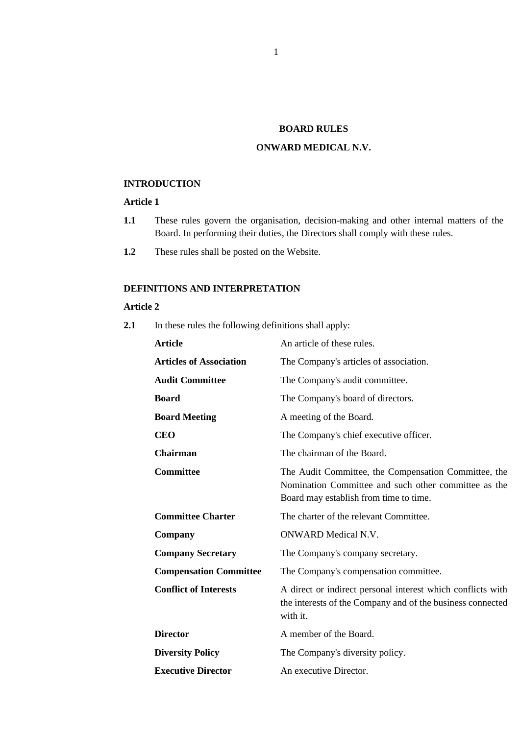## **BOARD RULES**

## **ONWARD MEDICAL N.V.**

#### **INTRODUCTION**

# **Article 1**

- **1.1** These rules govern the organisation, decision-making and other internal matters of the Board. In performing their duties, the Directors shall comply with these rules.
- **1.2** These rules shall be posted on the Website.

# **DEFINITIONS AND INTERPRETATION**

#### **Article 2**

**2.1** In these rules the following definitions shall apply:

| An article of these rules.                                                                                                                             |
|--------------------------------------------------------------------------------------------------------------------------------------------------------|
| The Company's articles of association.                                                                                                                 |
| The Company's audit committee.                                                                                                                         |
| The Company's board of directors.                                                                                                                      |
| A meeting of the Board.                                                                                                                                |
| The Company's chief executive officer.                                                                                                                 |
| The chairman of the Board.                                                                                                                             |
| The Audit Committee, the Compensation Committee, the<br>Nomination Committee and such other committee as the<br>Board may establish from time to time. |
| The charter of the relevant Committee.                                                                                                                 |
| <b>ONWARD</b> Medical N.V.                                                                                                                             |
| The Company's company secretary.                                                                                                                       |
| The Company's compensation committee.                                                                                                                  |
| A direct or indirect personal interest which conflicts with<br>the interests of the Company and of the business connected<br>with it.                  |
| A member of the Board.                                                                                                                                 |
| The Company's diversity policy.                                                                                                                        |
| An executive Director.                                                                                                                                 |
|                                                                                                                                                        |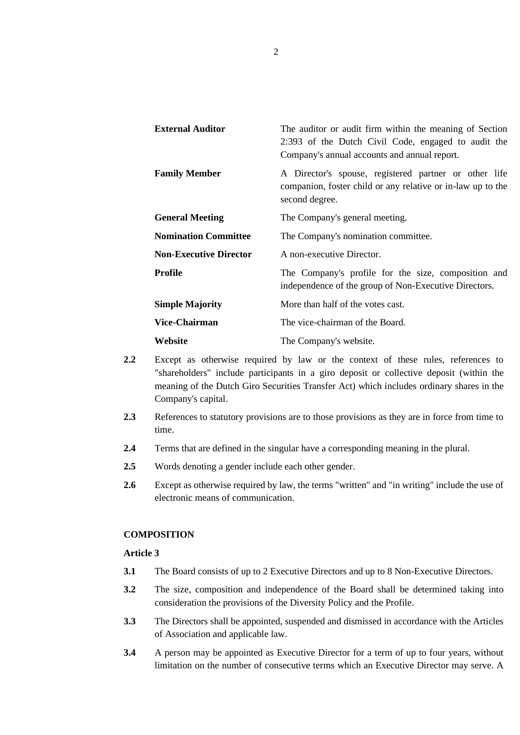| <b>External Auditor</b>       | The auditor or audit firm within the meaning of Section<br>2:393 of the Dutch Civil Code, engaged to audit the<br>Company's annual accounts and annual report. |
|-------------------------------|----------------------------------------------------------------------------------------------------------------------------------------------------------------|
| <b>Family Member</b>          | A Director's spouse, registered partner or other life<br>companion, foster child or any relative or in-law up to the<br>second degree.                         |
| <b>General Meeting</b>        | The Company's general meeting.                                                                                                                                 |
| <b>Nomination Committee</b>   | The Company's nomination committee.                                                                                                                            |
| <b>Non-Executive Director</b> | A non-executive Director.                                                                                                                                      |
| Profile                       | The Company's profile for the size, composition and<br>independence of the group of Non-Executive Directors.                                                   |
| <b>Simple Majority</b>        | More than half of the votes cast.                                                                                                                              |
| Vice-Chairman                 | The vice-chairman of the Board.                                                                                                                                |
| Website                       | The Company's website.                                                                                                                                         |

- **2.2** Except as otherwise required by law or the context of these rules, references to "shareholders" include participants in a giro deposit or collective deposit (within the meaning of the Dutch Giro Securities Transfer Act) which includes ordinary shares in the Company's capital.
- **2.3** References to statutory provisions are to those provisions as they are in force from time to time.
- **2.4** Terms that are defined in the singular have a corresponding meaning in the plural.
- **2.5** Words denoting a gender include each other gender.
- **2.6** Except as otherwise required by law, the terms "written" and "in writing" include the use of electronic means of communication.

## **COMPOSITION**

- **3.1** The Board consists of up to 2 Executive Directors and up to 8 Non-Executive Directors.
- **3.2** The size, composition and independence of the Board shall be determined taking into consideration the provisions of the Diversity Policy and the Profile.
- **3.3** The Directors shall be appointed, suspended and dismissed in accordance with the Articles of Association and applicable law.
- **3.4** A person may be appointed as Executive Director for a term of up to four years, without limitation on the number of consecutive terms which an Executive Director may serve. A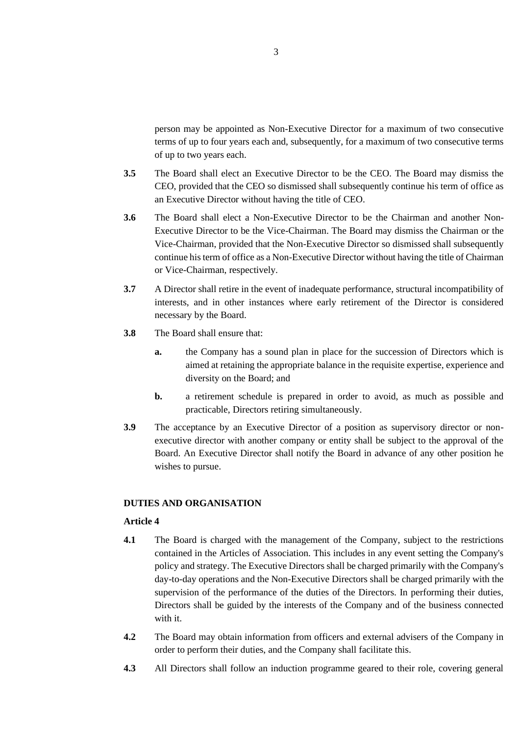person may be appointed as Non-Executive Director for a maximum of two consecutive terms of up to four years each and, subsequently, for a maximum of two consecutive terms of up to two years each.

- **3.5** The Board shall elect an Executive Director to be the CEO. The Board may dismiss the CEO, provided that the CEO so dismissed shall subsequently continue his term of office as an Executive Director without having the title of CEO.
- **3.6** The Board shall elect a Non-Executive Director to be the Chairman and another Non-Executive Director to be the Vice-Chairman. The Board may dismiss the Chairman or the Vice-Chairman, provided that the Non-Executive Director so dismissed shall subsequently continue his term of office as a Non-Executive Director without having the title of Chairman or Vice-Chairman, respectively.
- **3.7** A Director shall retire in the event of inadequate performance, structural incompatibility of interests, and in other instances where early retirement of the Director is considered necessary by the Board.
- **3.8** The Board shall ensure that:
	- **a.** the Company has a sound plan in place for the succession of Directors which is aimed at retaining the appropriate balance in the requisite expertise, experience and diversity on the Board; and
	- **b.** a retirement schedule is prepared in order to avoid, as much as possible and practicable, Directors retiring simultaneously.
- **3.9** The acceptance by an Executive Director of a position as supervisory director or nonexecutive director with another company or entity shall be subject to the approval of the Board. An Executive Director shall notify the Board in advance of any other position he wishes to pursue.

## **DUTIES AND ORGANISATION**

- **4.1** The Board is charged with the management of the Company, subject to the restrictions contained in the Articles of Association. This includes in any event setting the Company's policy and strategy. The Executive Directors shall be charged primarily with the Company's day-to-day operations and the Non-Executive Directors shall be charged primarily with the supervision of the performance of the duties of the Directors. In performing their duties, Directors shall be guided by the interests of the Company and of the business connected with it.
- **4.2** The Board may obtain information from officers and external advisers of the Company in order to perform their duties, and the Company shall facilitate this.
- **4.3** All Directors shall follow an induction programme geared to their role, covering general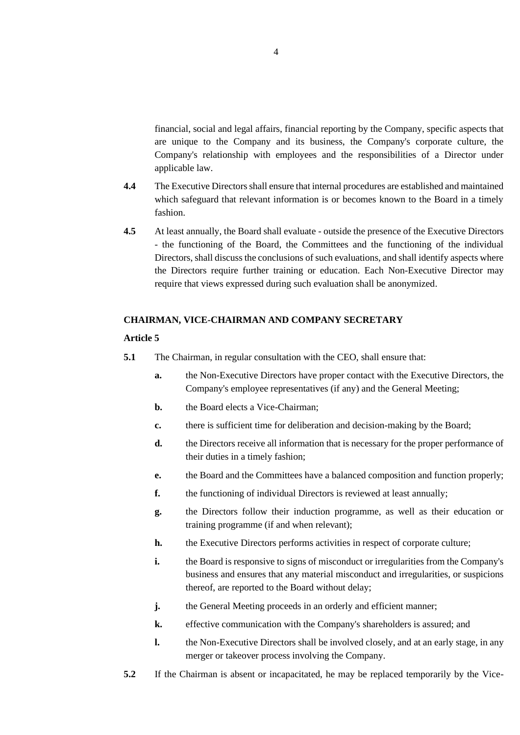financial, social and legal affairs, financial reporting by the Company, specific aspects that are unique to the Company and its business, the Company's corporate culture, the Company's relationship with employees and the responsibilities of a Director under applicable law.

- **4.4** The Executive Directors shall ensure that internal procedures are established and maintained which safeguard that relevant information is or becomes known to the Board in a timely fashion.
- **4.5** At least annually, the Board shall evaluate outside the presence of the Executive Directors - the functioning of the Board, the Committees and the functioning of the individual Directors, shall discuss the conclusions of such evaluations, and shall identify aspects where the Directors require further training or education. Each Non-Executive Director may require that views expressed during such evaluation shall be anonymized.

## **CHAIRMAN, VICE-CHAIRMAN AND COMPANY SECRETARY**

- **5.1** The Chairman, in regular consultation with the CEO, shall ensure that:
	- **a.** the Non-Executive Directors have proper contact with the Executive Directors, the Company's employee representatives (if any) and the General Meeting;
	- **b.** the Board elects a Vice-Chairman;
	- **c.** there is sufficient time for deliberation and decision-making by the Board;
	- **d.** the Directors receive all information that is necessary for the proper performance of their duties in a timely fashion;
	- **e.** the Board and the Committees have a balanced composition and function properly;
	- **f.** the functioning of individual Directors is reviewed at least annually;
	- **g.** the Directors follow their induction programme, as well as their education or training programme (if and when relevant);
	- **h.** the Executive Directors performs activities in respect of corporate culture;
	- **i.** the Board is responsive to signs of misconduct or irregularities from the Company's business and ensures that any material misconduct and irregularities, or suspicions thereof, are reported to the Board without delay;
	- **j.** the General Meeting proceeds in an orderly and efficient manner;
	- **k.** effective communication with the Company's shareholders is assured; and
	- **l.** the Non-Executive Directors shall be involved closely, and at an early stage, in any merger or takeover process involving the Company.
- **5.2** If the Chairman is absent or incapacitated, he may be replaced temporarily by the Vice-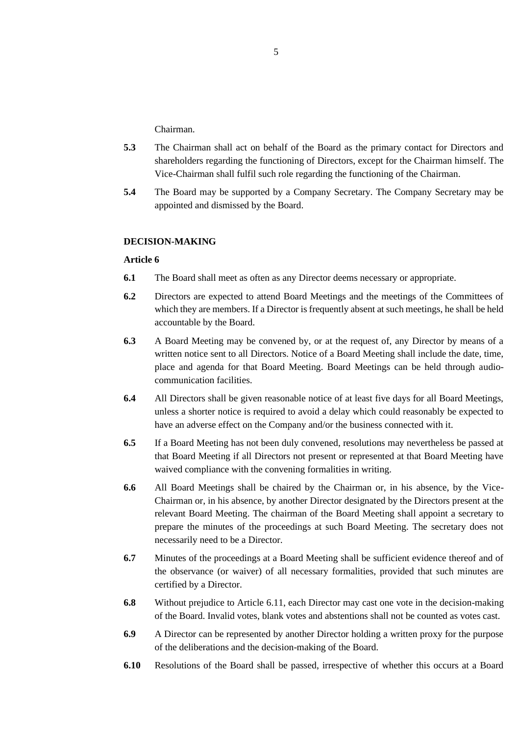Chairman.

- **5.3** The Chairman shall act on behalf of the Board as the primary contact for Directors and shareholders regarding the functioning of Directors, except for the Chairman himself. The Vice-Chairman shall fulfil such role regarding the functioning of the Chairman.
- **5.4** The Board may be supported by a Company Secretary. The Company Secretary may be appointed and dismissed by the Board.

### **DECISION-MAKING**

- **6.1** The Board shall meet as often as any Director deems necessary or appropriate.
- **6.2** Directors are expected to attend Board Meetings and the meetings of the Committees of which they are members. If a Director is frequently absent at such meetings, he shall be held accountable by the Board.
- **6.3** A Board Meeting may be convened by, or at the request of, any Director by means of a written notice sent to all Directors. Notice of a Board Meeting shall include the date, time, place and agenda for that Board Meeting. Board Meetings can be held through audiocommunication facilities.
- **6.4** All Directors shall be given reasonable notice of at least five days for all Board Meetings, unless a shorter notice is required to avoid a delay which could reasonably be expected to have an adverse effect on the Company and/or the business connected with it.
- **6.5** If a Board Meeting has not been duly convened, resolutions may nevertheless be passed at that Board Meeting if all Directors not present or represented at that Board Meeting have waived compliance with the convening formalities in writing.
- **6.6** All Board Meetings shall be chaired by the Chairman or, in his absence, by the Vice-Chairman or, in his absence, by another Director designated by the Directors present at the relevant Board Meeting. The chairman of the Board Meeting shall appoint a secretary to prepare the minutes of the proceedings at such Board Meeting. The secretary does not necessarily need to be a Director.
- **6.7** Minutes of the proceedings at a Board Meeting shall be sufficient evidence thereof and of the observance (or waiver) of all necessary formalities, provided that such minutes are certified by a Director.
- **6.8** Without prejudice to Article 6.11, each Director may cast one vote in the decision-making of the Board. Invalid votes, blank votes and abstentions shall not be counted as votes cast.
- **6.9** A Director can be represented by another Director holding a written proxy for the purpose of the deliberations and the decision-making of the Board.
- **6.10** Resolutions of the Board shall be passed, irrespective of whether this occurs at a Board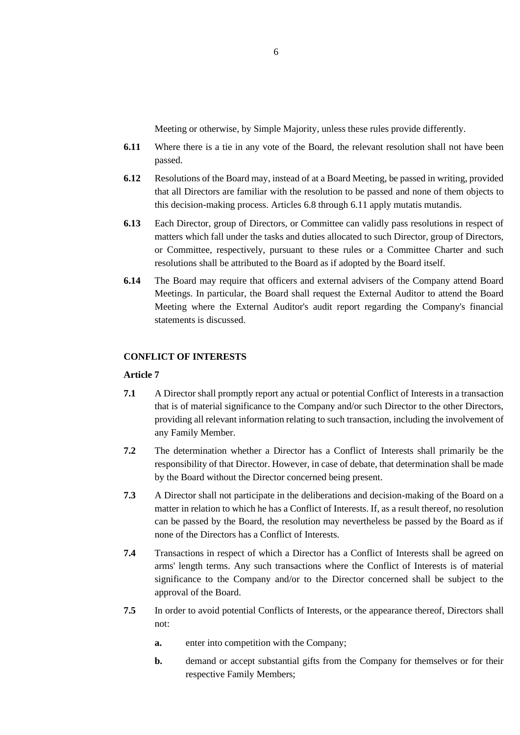Meeting or otherwise, by Simple Majority, unless these rules provide differently.

- **6.11** Where there is a tie in any vote of the Board, the relevant resolution shall not have been passed.
- **6.12** Resolutions of the Board may, instead of at a Board Meeting, be passed in writing, provided that all Directors are familiar with the resolution to be passed and none of them objects to this decision-making process. Articles 6.8 through 6.11 apply mutatis mutandis.
- **6.13** Each Director, group of Directors, or Committee can validly pass resolutions in respect of matters which fall under the tasks and duties allocated to such Director, group of Directors, or Committee, respectively, pursuant to these rules or a Committee Charter and such resolutions shall be attributed to the Board as if adopted by the Board itself.
- **6.14** The Board may require that officers and external advisers of the Company attend Board Meetings. In particular, the Board shall request the External Auditor to attend the Board Meeting where the External Auditor's audit report regarding the Company's financial statements is discussed.

## **CONFLICT OF INTERESTS**

- **7.1** A Director shall promptly report any actual or potential Conflict of Interests in a transaction that is of material significance to the Company and/or such Director to the other Directors, providing all relevant information relating to such transaction, including the involvement of any Family Member.
- **7.2** The determination whether a Director has a Conflict of Interests shall primarily be the responsibility of that Director. However, in case of debate, that determination shall be made by the Board without the Director concerned being present.
- **7.3** A Director shall not participate in the deliberations and decision-making of the Board on a matter in relation to which he has a Conflict of Interests. If, as a result thereof, no resolution can be passed by the Board, the resolution may nevertheless be passed by the Board as if none of the Directors has a Conflict of Interests.
- **7.4** Transactions in respect of which a Director has a Conflict of Interests shall be agreed on arms' length terms. Any such transactions where the Conflict of Interests is of material significance to the Company and/or to the Director concerned shall be subject to the approval of the Board.
- **7.5** In order to avoid potential Conflicts of Interests, or the appearance thereof, Directors shall not:
	- **a.** enter into competition with the Company;
	- **b.** demand or accept substantial gifts from the Company for themselves or for their respective Family Members;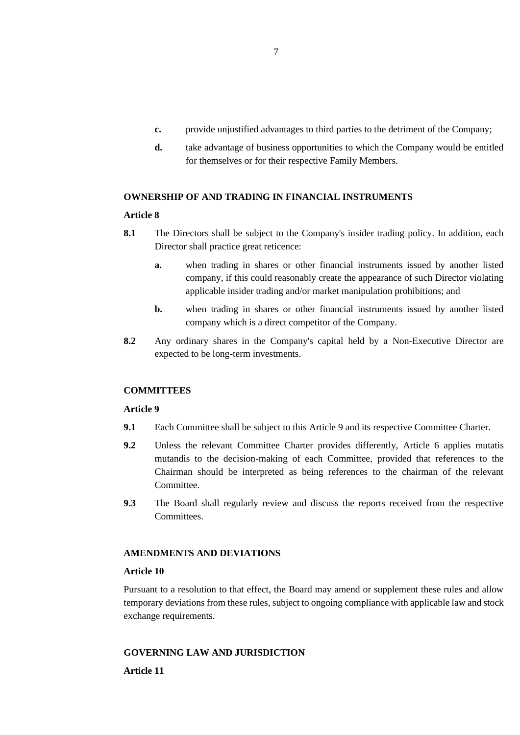- **c.** provide unjustified advantages to third parties to the detriment of the Company;
- **d.** take advantage of business opportunities to which the Company would be entitled for themselves or for their respective Family Members.

## **OWNERSHIP OF AND TRADING IN FINANCIAL INSTRUMENTS**

#### **Article 8**

- **8.1** The Directors shall be subject to the Company's insider trading policy. In addition, each Director shall practice great reticence:
	- **a.** when trading in shares or other financial instruments issued by another listed company, if this could reasonably create the appearance of such Director violating applicable insider trading and/or market manipulation prohibitions; and
	- **b.** when trading in shares or other financial instruments issued by another listed company which is a direct competitor of the Company.
- **8.2** Any ordinary shares in the Company's capital held by a Non-Executive Director are expected to be long-term investments.

## **COMMITTEES**

#### **Article 9**

- **9.1** Each Committee shall be subject to this Article 9 and its respective Committee Charter.
- **9.2** Unless the relevant Committee Charter provides differently, Article 6 applies mutatis mutandis to the decision-making of each Committee, provided that references to the Chairman should be interpreted as being references to the chairman of the relevant Committee.
- **9.3** The Board shall regularly review and discuss the reports received from the respective Committees.

### **AMENDMENTS AND DEVIATIONS**

### **Article 10**

Pursuant to a resolution to that effect, the Board may amend or supplement these rules and allow temporary deviations from these rules, subject to ongoing compliance with applicable law and stock exchange requirements.

#### **GOVERNING LAW AND JURISDICTION**